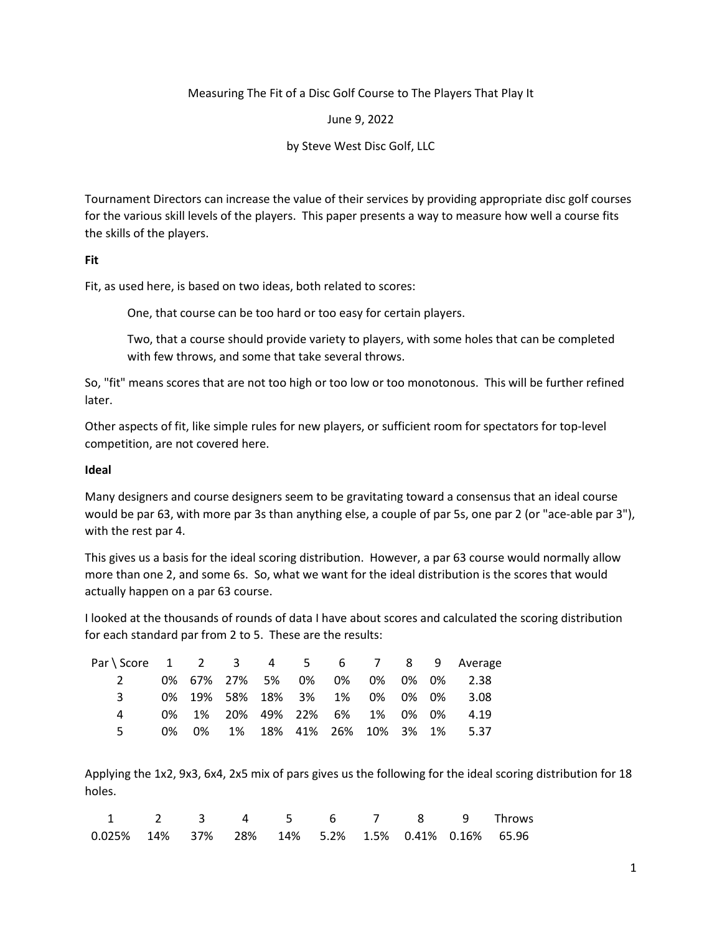### Measuring The Fit of a Disc Golf Course to The Players That Play It

June 9, 2022

by Steve West Disc Golf, LLC

Tournament Directors can increase the value of their services by providing appropriate disc golf courses for the various skill levels of the players. This paper presents a way to measure how well a course fits the skills of the players.

## **Fit**

Fit, as used here, is based on two ideas, both related to scores:

One, that course can be too hard or too easy for certain players.

Two, that a course should provide variety to players, with some holes that can be completed with few throws, and some that take several throws.

So, "fit" means scores that are not too high or too low or too monotonous. This will be further refined later.

Other aspects of fit, like simple rules for new players, or sufficient room for spectators for top-level competition, are not covered here.

## **Ideal**

Many designers and course designers seem to be gravitating toward a consensus that an ideal course would be par 63, with more par 3s than anything else, a couple of par 5s, one par 2 (or "ace-able par 3"), with the rest par 4.

This gives us a basis for the ideal scoring distribution. However, a par 63 course would normally allow more than one 2, and some 6s. So, what we want for the ideal distribution is the scores that would actually happen on a par 63 course.

I looked at the thousands of rounds of data I have about scores and calculated the scoring distribution for each standard par from 2 to 5. These are the results:

| Par \ Score 1 2 3 4 5 6 7 8 9 Average |  |  |  |  |                                     |
|---------------------------------------|--|--|--|--|-------------------------------------|
| $\mathcal{P}$                         |  |  |  |  | 0% 67% 27% 5% 0% 0% 0% 0% 0% 2.38   |
| २                                     |  |  |  |  | 0% 19% 58% 18% 3% 1% 0% 0% 0% 3.08  |
|                                       |  |  |  |  | 0% 1% 20% 49% 22% 6% 1% 0% 0% 4.19  |
|                                       |  |  |  |  | 0% 0% 1% 18% 41% 26% 10% 3% 1% 5.37 |

Applying the 1x2, 9x3, 6x4, 2x5 mix of pars gives us the following for the ideal scoring distribution for 18 holes.

| 1 2 3 4 5 6 7 8 9 Throws                              |  |  |  |  |  |
|-------------------------------------------------------|--|--|--|--|--|
| $0.025\%$ 14% 37% 28% 14% 5.2% 1.5% 0.41% 0.16% 65.96 |  |  |  |  |  |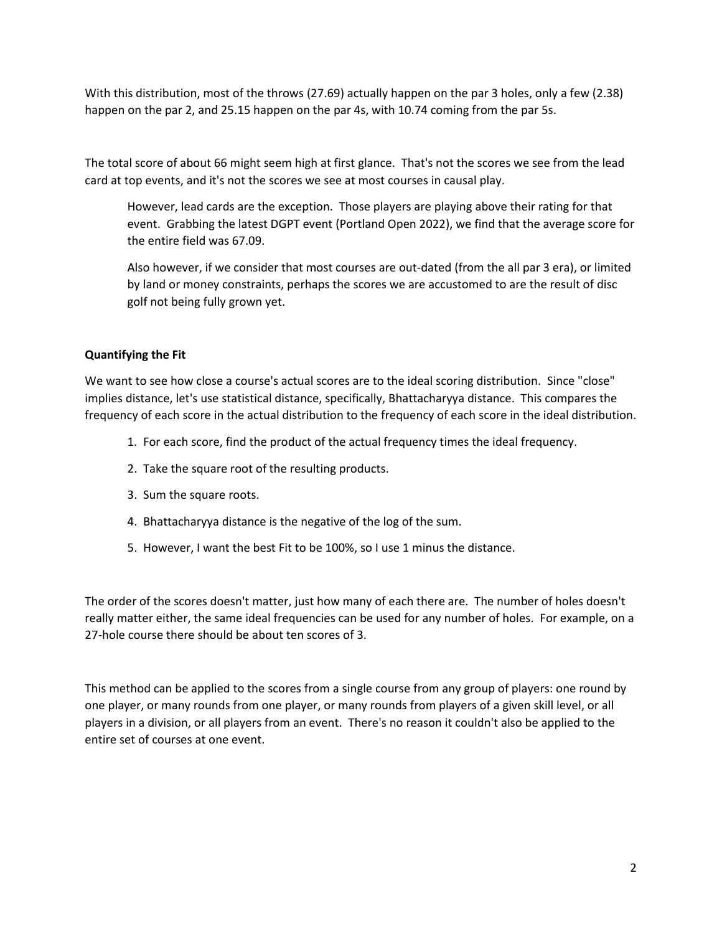With this distribution, most of the throws (27.69) actually happen on the par 3 holes, only a few (2.38) happen on the par 2, and 25.15 happen on the par 4s, with 10.74 coming from the par 5s.

The total score of about 66 might seem high at first glance. That's not the scores we see from the lead card at top events, and it's not the scores we see at most courses in causal play.

However, lead cards are the exception. Those players are playing above their rating for that event. Grabbing the latest DGPT event (Portland Open 2022), we find that the average score for the entire field was 67.09.

Also however, if we consider that most courses are out-dated (from the all par 3 era), or limited by land or money constraints, perhaps the scores we are accustomed to are the result of disc golf not being fully grown yet.

# **Quantifying the Fit**

We want to see how close a course's actual scores are to the ideal scoring distribution. Since "close" implies distance, let's use statistical distance, specifically, Bhattacharyya distance. This compares the frequency of each score in the actual distribution to the frequency of each score in the ideal distribution.

- 1. For each score, find the product of the actual frequency times the ideal frequency.
- 2. Take the square root of the resulting products.
- 3. Sum the square roots.
- 4. Bhattacharyya distance is the negative of the log of the sum.
- 5. However, I want the best Fit to be 100%, so I use 1 minus the distance.

The order of the scores doesn't matter, just how many of each there are. The number of holes doesn't really matter either, the same ideal frequencies can be used for any number of holes. For example, on a 27-hole course there should be about ten scores of 3.

This method can be applied to the scores from a single course from any group of players: one round by one player, or many rounds from one player, or many rounds from players of a given skill level, or all players in a division, or all players from an event. There's no reason it couldn't also be applied to the entire set of courses at one event.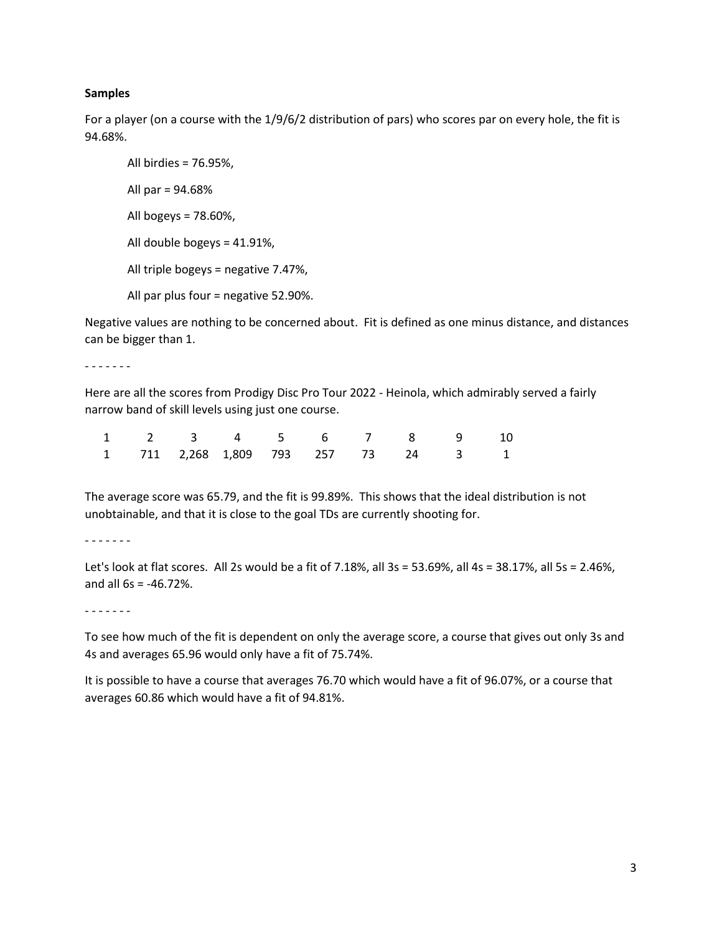#### **Samples**

For a player (on a course with the 1/9/6/2 distribution of pars) who scores par on every hole, the fit is 94.68%.

All birdies = 76.95%, All par = 94.68% All bogeys = 78.60%, All double bogeys = 41.91%, All triple bogeys = negative 7.47%, All par plus four = negative 52.90%.

Negative values are nothing to be concerned about. Fit is defined as one minus distance, and distances can be bigger than 1.

- - - - - - -

Here are all the scores from Prodigy Disc Pro Tour 2022 - Heinola, which admirably served a fairly narrow band of skill levels using just one course.

|  |  |  | 1 2 3 4 5 6 7 8 9 10                |  |
|--|--|--|-------------------------------------|--|
|  |  |  | 1 711 2,268 1,809 793 257 73 24 3 1 |  |

The average score was 65.79, and the fit is 99.89%. This shows that the ideal distribution is not unobtainable, and that it is close to the goal TDs are currently shooting for.

- - - - - - -

Let's look at flat scores. All 2s would be a fit of 7.18%, all 3s = 53.69%, all 4s = 38.17%, all 5s = 2.46%, and all 6s = -46.72%.

- - - - - - -

To see how much of the fit is dependent on only the average score, a course that gives out only 3s and 4s and averages 65.96 would only have a fit of 75.74%.

It is possible to have a course that averages 76.70 which would have a fit of 96.07%, or a course that averages 60.86 which would have a fit of 94.81%.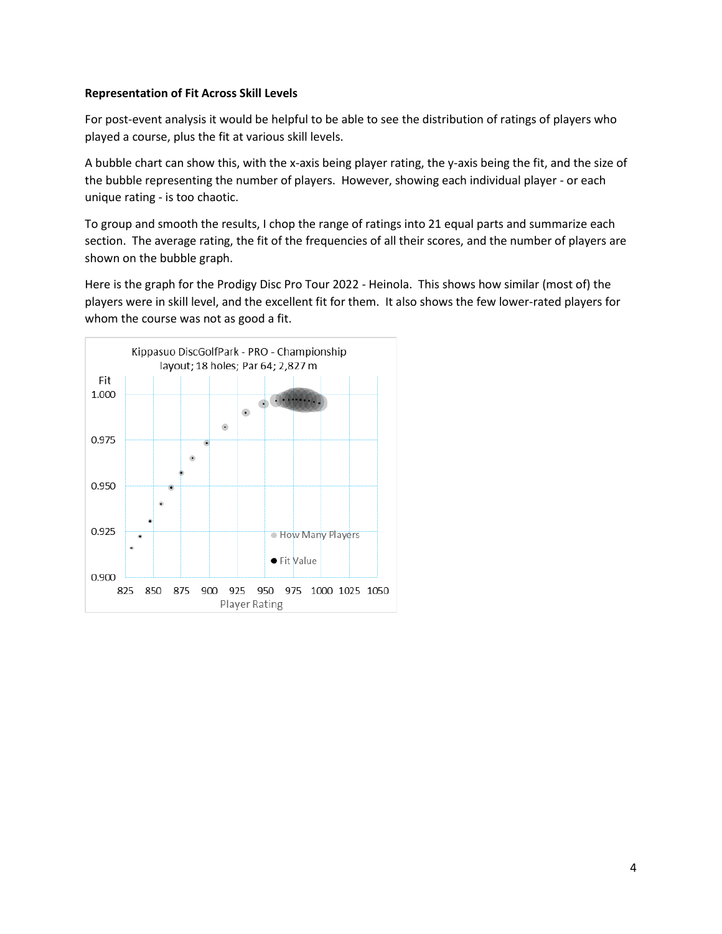## **Representation of Fit Across Skill Levels**

For post-event analysis it would be helpful to be able to see the distribution of ratings of players who played a course, plus the fit at various skill levels.

A bubble chart can show this, with the x-axis being player rating, the y-axis being the fit, and the size of the bubble representing the number of players. However, showing each individual player - or each unique rating - is too chaotic.

To group and smooth the results, I chop the range of ratings into 21 equal parts and summarize each section. The average rating, the fit of the frequencies of all their scores, and the number of players are shown on the bubble graph.

Here is the graph for the Prodigy Disc Pro Tour 2022 - Heinola. This shows how similar (most of) the players were in skill level, and the excellent fit for them. It also shows the few lower-rated players for whom the course was not as good a fit.

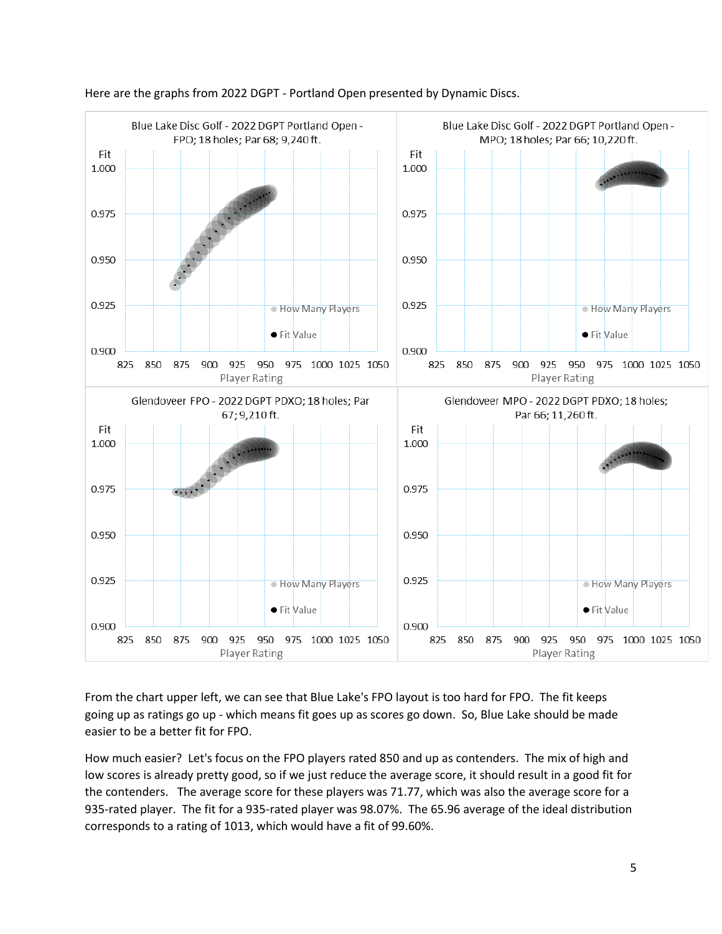

### Here are the graphs from 2022 DGPT - Portland Open presented by Dynamic Discs.

From the chart upper left, we can see that Blue Lake's FPO layout is too hard for FPO. The fit keeps going up as ratings go up - which means fit goes up as scores go down. So, Blue Lake should be made easier to be a better fit for FPO.

How much easier? Let's focus on the FPO players rated 850 and up as contenders. The mix of high and low scores is already pretty good, so if we just reduce the average score, it should result in a good fit for the contenders. The average score for these players was 71.77, which was also the average score for a 935-rated player. The fit for a 935-rated player was 98.07%. The 65.96 average of the ideal distribution corresponds to a rating of 1013, which would have a fit of 99.60%.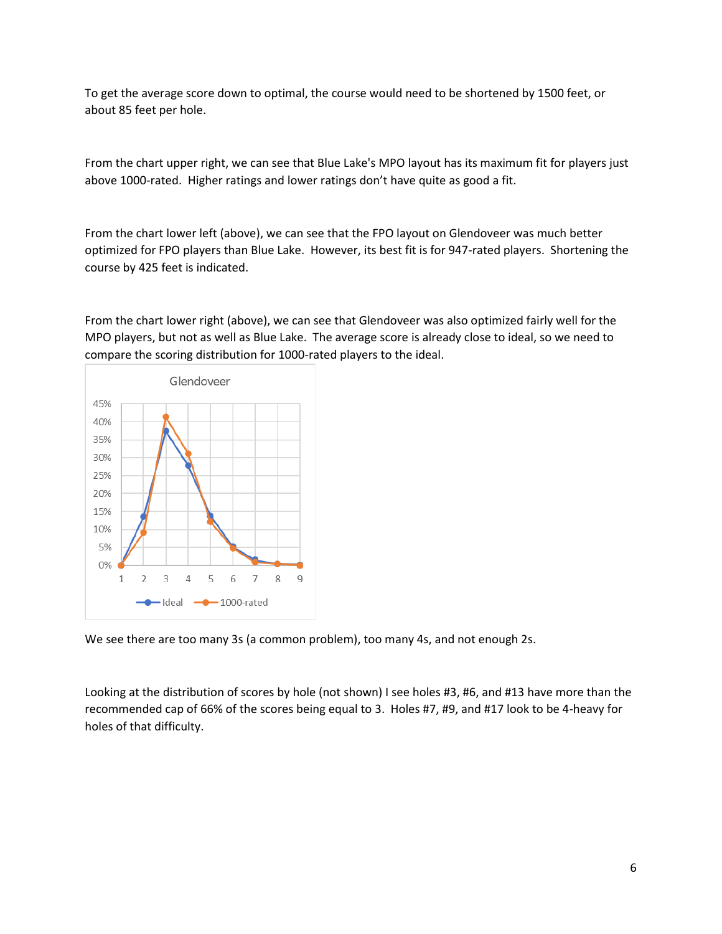To get the average score down to optimal, the course would need to be shortened by 1500 feet, or about 85 feet per hole.

From the chart upper right, we can see that Blue Lake's MPO layout has its maximum fit for players just above 1000-rated. Higher ratings and lower ratings don't have quite as good a fit.

From the chart lower left (above), we can see that the FPO layout on Glendoveer was much better optimized for FPO players than Blue Lake. However, its best fit is for 947-rated players. Shortening the course by 425 feet is indicated.

From the chart lower right (above), we can see that Glendoveer was also optimized fairly well for the MPO players, but not as well as Blue Lake. The average score is already close to ideal, so we need to compare the scoring distribution for 1000-rated players to the ideal.



We see there are too many 3s (a common problem), too many 4s, and not enough 2s.

Looking at the distribution of scores by hole (not shown) I see holes #3, #6, and #13 have more than the recommended cap of 66% of the scores being equal to 3. Holes #7, #9, and #17 look to be 4-heavy for holes of that difficulty.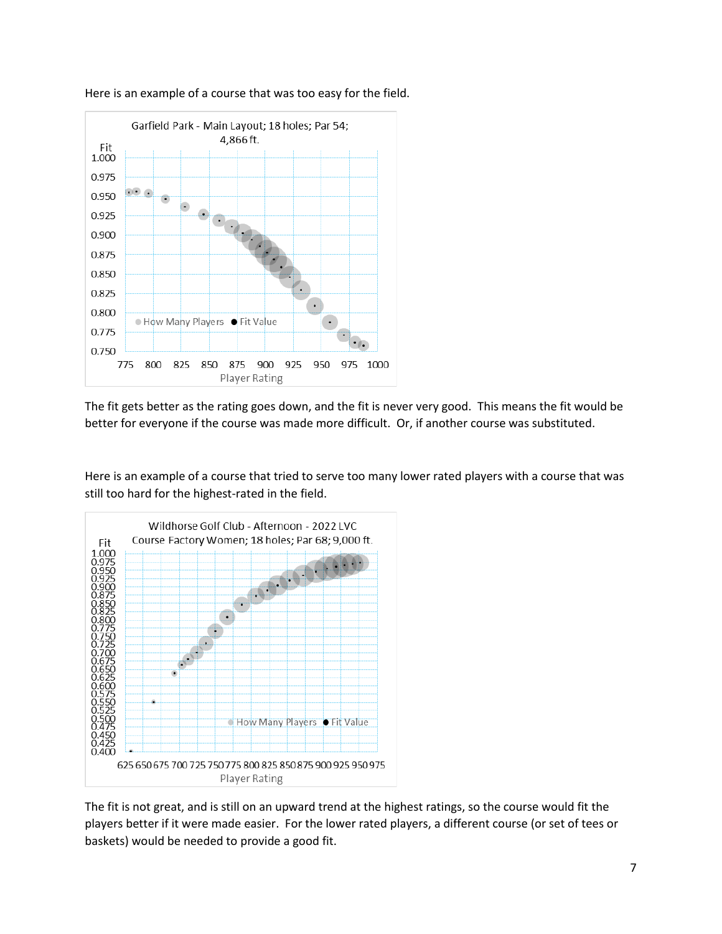

Here is an example of a course that was too easy for the field.

The fit gets better as the rating goes down, and the fit is never very good. This means the fit would be better for everyone if the course was made more difficult. Or, if another course was substituted.

Here is an example of a course that tried to serve too many lower rated players with a course that was still too hard for the highest-rated in the field.



The fit is not great, and is still on an upward trend at the highest ratings, so the course would fit the players better if it were made easier. For the lower rated players, a different course (or set of tees or baskets) would be needed to provide a good fit.